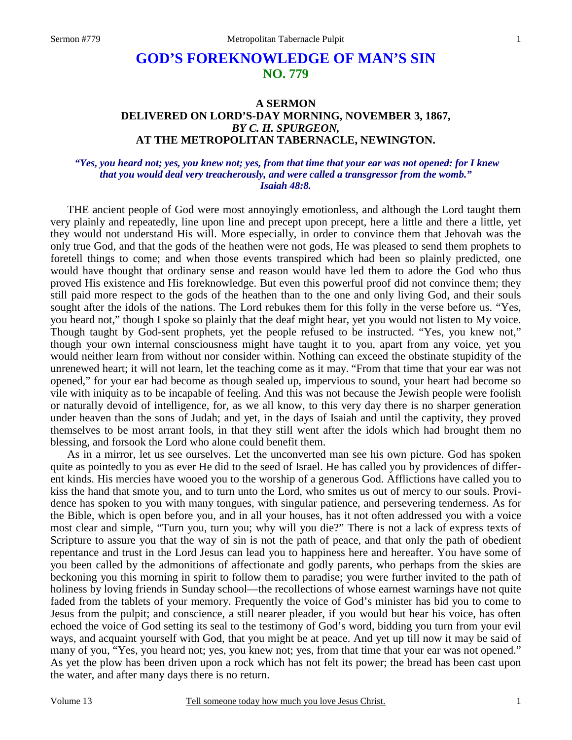# **GOD'S FOREKNOWLEDGE OF MAN'S SIN NO. 779**

## **A SERMON DELIVERED ON LORD'S-DAY MORNING, NOVEMBER 3, 1867,**  *BY C. H. SPURGEON,*  **AT THE METROPOLITAN TABERNACLE, NEWINGTON.**

#### *"Yes, you heard not; yes, you knew not; yes, from that time that your ear was not opened: for I knew that you would deal very treacherously, and were called a transgressor from the womb." Isaiah 48:8.*

 THE ancient people of God were most annoyingly emotionless, and although the Lord taught them very plainly and repeatedly, line upon line and precept upon precept, here a little and there a little, yet they would not understand His will. More especially, in order to convince them that Jehovah was the only true God, and that the gods of the heathen were not gods, He was pleased to send them prophets to foretell things to come; and when those events transpired which had been so plainly predicted, one would have thought that ordinary sense and reason would have led them to adore the God who thus proved His existence and His foreknowledge. But even this powerful proof did not convince them; they still paid more respect to the gods of the heathen than to the one and only living God, and their souls sought after the idols of the nations. The Lord rebukes them for this folly in the verse before us. "Yes, you heard not," though I spoke so plainly that the deaf might hear, yet you would not listen to My voice. Though taught by God-sent prophets, yet the people refused to be instructed. "Yes, you knew not," though your own internal consciousness might have taught it to you, apart from any voice, yet you would neither learn from without nor consider within. Nothing can exceed the obstinate stupidity of the unrenewed heart; it will not learn, let the teaching come as it may. "From that time that your ear was not opened," for your ear had become as though sealed up, impervious to sound, your heart had become so vile with iniquity as to be incapable of feeling. And this was not because the Jewish people were foolish or naturally devoid of intelligence, for, as we all know, to this very day there is no sharper generation under heaven than the sons of Judah; and yet, in the days of Isaiah and until the captivity, they proved themselves to be most arrant fools, in that they still went after the idols which had brought them no blessing, and forsook the Lord who alone could benefit them.

 As in a mirror, let us see ourselves. Let the unconverted man see his own picture. God has spoken quite as pointedly to you as ever He did to the seed of Israel. He has called you by providences of different kinds. His mercies have wooed you to the worship of a generous God. Afflictions have called you to kiss the hand that smote you, and to turn unto the Lord, who smites us out of mercy to our souls. Providence has spoken to you with many tongues, with singular patience, and persevering tenderness. As for the Bible, which is open before you, and in all your houses, has it not often addressed you with a voice most clear and simple, "Turn you, turn you; why will you die?" There is not a lack of express texts of Scripture to assure you that the way of sin is not the path of peace, and that only the path of obedient repentance and trust in the Lord Jesus can lead you to happiness here and hereafter. You have some of you been called by the admonitions of affectionate and godly parents, who perhaps from the skies are beckoning you this morning in spirit to follow them to paradise; you were further invited to the path of holiness by loving friends in Sunday school—the recollections of whose earnest warnings have not quite faded from the tablets of your memory. Frequently the voice of God's minister has bid you to come to Jesus from the pulpit; and conscience, a still nearer pleader, if you would but hear his voice, has often echoed the voice of God setting its seal to the testimony of God's word, bidding you turn from your evil ways, and acquaint yourself with God, that you might be at peace. And yet up till now it may be said of many of you, "Yes, you heard not; yes, you knew not; yes, from that time that your ear was not opened." As yet the plow has been driven upon a rock which has not felt its power; the bread has been cast upon the water, and after many days there is no return.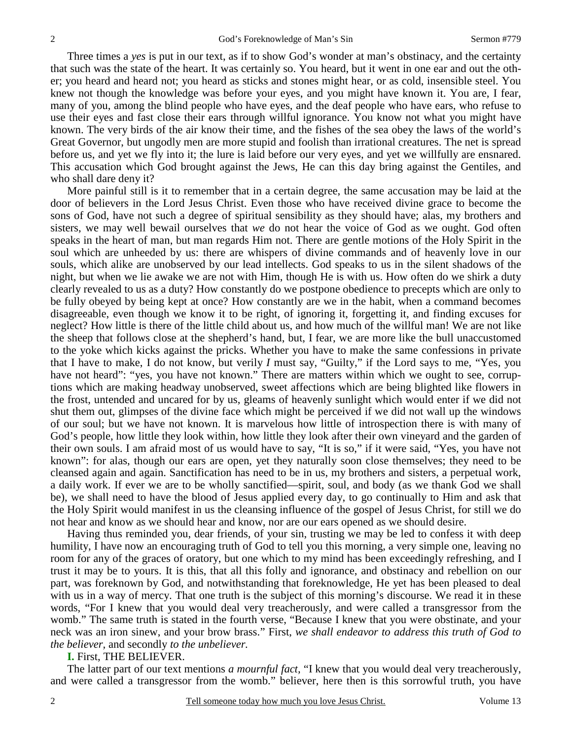Three times a *yes* is put in our text, as if to show God's wonder at man's obstinacy, and the certainty that such was the state of the heart. It was certainly so. You heard, but it went in one ear and out the other; you heard and heard not; you heard as sticks and stones might hear, or as cold, insensible steel. You knew not though the knowledge was before your eyes, and you might have known it. You are, I fear, many of you, among the blind people who have eyes, and the deaf people who have ears, who refuse to use their eyes and fast close their ears through willful ignorance. You know not what you might have known. The very birds of the air know their time, and the fishes of the sea obey the laws of the world's Great Governor, but ungodly men are more stupid and foolish than irrational creatures. The net is spread before us, and yet we fly into it; the lure is laid before our very eyes, and yet we willfully are ensnared. This accusation which God brought against the Jews, He can this day bring against the Gentiles, and who shall dare deny it?

 More painful still is it to remember that in a certain degree, the same accusation may be laid at the door of believers in the Lord Jesus Christ. Even those who have received divine grace to become the sons of God, have not such a degree of spiritual sensibility as they should have; alas, my brothers and sisters, we may well bewail ourselves that *we* do not hear the voice of God as we ought. God often speaks in the heart of man, but man regards Him not. There are gentle motions of the Holy Spirit in the soul which are unheeded by us: there are whispers of divine commands and of heavenly love in our souls, which alike are unobserved by our lead intellects. God speaks to us in the silent shadows of the night, but when we lie awake we are not with Him, though He is with us. How often do we shirk a duty clearly revealed to us as a duty? How constantly do we postpone obedience to precepts which are only to be fully obeyed by being kept at once? How constantly are we in the habit, when a command becomes disagreeable, even though we know it to be right, of ignoring it, forgetting it, and finding excuses for neglect? How little is there of the little child about us, and how much of the willful man! We are not like the sheep that follows close at the shepherd's hand, but, I fear, we are more like the bull unaccustomed to the yoke which kicks against the pricks. Whether you have to make the same confessions in private that I have to make, I do not know, but verily *I* must say, "Guilty," if the Lord says to me, "Yes, you have not heard": "yes, you have not known." There are matters within which we ought to see, corruptions which are making headway unobserved, sweet affections which are being blighted like flowers in the frost, untended and uncared for by us, gleams of heavenly sunlight which would enter if we did not shut them out, glimpses of the divine face which might be perceived if we did not wall up the windows of our soul; but we have not known. It is marvelous how little of introspection there is with many of God's people, how little they look within, how little they look after their own vineyard and the garden of their own souls. I am afraid most of us would have to say, "It is so," if it were said, "Yes, you have not known": for alas, though our ears are open, yet they naturally soon close themselves; they need to be cleansed again and again. Sanctification has need to be in us, my brothers and sisters, a perpetual work, a daily work. If ever we are to be wholly sanctified—spirit, soul, and body (as we thank God we shall be), we shall need to have the blood of Jesus applied every day, to go continually to Him and ask that the Holy Spirit would manifest in us the cleansing influence of the gospel of Jesus Christ, for still we do not hear and know as we should hear and know, nor are our ears opened as we should desire.

 Having thus reminded you, dear friends, of your sin, trusting we may be led to confess it with deep humility, I have now an encouraging truth of God to tell you this morning, a very simple one, leaving no room for any of the graces of oratory, but one which to my mind has been exceedingly refreshing, and I trust it may be to yours. It is this, that all this folly and ignorance, and obstinacy and rebellion on our part, was foreknown by God, and notwithstanding that foreknowledge, He yet has been pleased to deal with us in a way of mercy. That one truth is the subject of this morning's discourse. We read it in these words, "For I knew that you would deal very treacherously, and were called a transgressor from the womb." The same truth is stated in the fourth verse, "Because I knew that you were obstinate, and your neck was an iron sinew, and your brow brass." First, *we shall endeavor to address this truth of God to the believer,* and secondly *to the unbeliever.*

#### **I.** First, THE BELIEVER.

 The latter part of our text mentions *a mournful fact,* "I knew that you would deal very treacherously, and were called a transgressor from the womb." believer, here then is this sorrowful truth, you have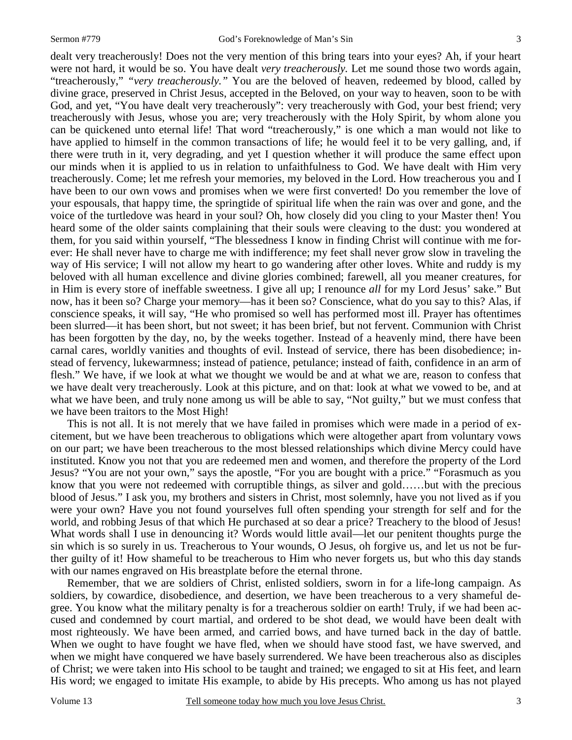dealt very treacherously! Does not the very mention of this bring tears into your eyes? Ah, if your heart were not hard, it would be so. You have dealt *very treacherously.* Let me sound those two words again, "treacherously," *"very treacherously."* You are the beloved of heaven, redeemed by blood, called by divine grace, preserved in Christ Jesus, accepted in the Beloved, on your way to heaven, soon to be with God, and yet, "You have dealt very treacherously": very treacherously with God, your best friend; very treacherously with Jesus, whose you are; very treacherously with the Holy Spirit, by whom alone you can be quickened unto eternal life! That word "treacherously," is one which a man would not like to have applied to himself in the common transactions of life; he would feel it to be very galling, and, if there were truth in it, very degrading, and yet I question whether it will produce the same effect upon our minds when it is applied to us in relation to unfaithfulness to God. We have dealt with Him very treacherously. Come; let me refresh your memories, my beloved in the Lord. How treacherous you and I have been to our own vows and promises when we were first converted! Do you remember the love of your espousals, that happy time, the springtide of spiritual life when the rain was over and gone, and the voice of the turtledove was heard in your soul? Oh, how closely did you cling to your Master then! You heard some of the older saints complaining that their souls were cleaving to the dust: you wondered at them, for you said within yourself, "The blessedness I know in finding Christ will continue with me forever: He shall never have to charge me with indifference; my feet shall never grow slow in traveling the way of His service; I will not allow my heart to go wandering after other loves. White and ruddy is my beloved with all human excellence and divine glories combined; farewell, all you meaner creatures, for in Him is every store of ineffable sweetness. I give all up; I renounce *all* for my Lord Jesus' sake." But now, has it been so? Charge your memory—has it been so? Conscience, what do you say to this? Alas, if conscience speaks, it will say, "He who promised so well has performed most ill. Prayer has oftentimes been slurred—it has been short, but not sweet; it has been brief, but not fervent. Communion with Christ has been forgotten by the day, no, by the weeks together. Instead of a heavenly mind, there have been carnal cares, worldly vanities and thoughts of evil. Instead of service, there has been disobedience; instead of fervency, lukewarmness; instead of patience, petulance; instead of faith, confidence in an arm of flesh." We have, if we look at what we thought we would be and at what we are, reason to confess that we have dealt very treacherously. Look at this picture, and on that: look at what we vowed to be, and at what we have been, and truly none among us will be able to say, "Not guilty," but we must confess that we have been traitors to the Most High!

This is not all. It is not merely that we have failed in promises which were made in a period of excitement, but we have been treacherous to obligations which were altogether apart from voluntary vows on our part; we have been treacherous to the most blessed relationships which divine Mercy could have instituted. Know you not that you are redeemed men and women, and therefore the property of the Lord Jesus? "You are not your own," says the apostle, "For you are bought with a price." "Forasmuch as you know that you were not redeemed with corruptible things, as silver and gold……but with the precious blood of Jesus." I ask you, my brothers and sisters in Christ, most solemnly, have you not lived as if you were your own? Have you not found yourselves full often spending your strength for self and for the world, and robbing Jesus of that which He purchased at so dear a price? Treachery to the blood of Jesus! What words shall I use in denouncing it? Words would little avail—let our penitent thoughts purge the sin which is so surely in us. Treacherous to Your wounds, O Jesus, oh forgive us, and let us not be further guilty of it! How shameful to be treacherous to Him who never forgets us, but who this day stands with our names engraved on His breastplate before the eternal throne.

 Remember, that we are soldiers of Christ, enlisted soldiers, sworn in for a life-long campaign. As soldiers, by cowardice, disobedience, and desertion, we have been treacherous to a very shameful degree. You know what the military penalty is for a treacherous soldier on earth! Truly, if we had been accused and condemned by court martial, and ordered to be shot dead, we would have been dealt with most righteously. We have been armed, and carried bows, and have turned back in the day of battle. When we ought to have fought we have fled, when we should have stood fast, we have swerved, and when we might have conquered we have basely surrendered. We have been treacherous also as disciples of Christ; we were taken into His school to be taught and trained; we engaged to sit at His feet, and learn His word; we engaged to imitate His example, to abide by His precepts. Who among us has not played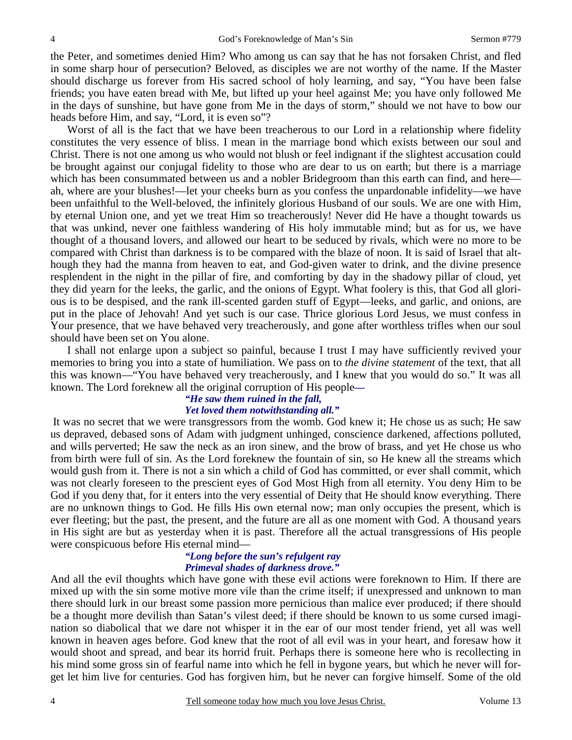the Peter, and sometimes denied Him? Who among us can say that he has not forsaken Christ, and fled in some sharp hour of persecution? Beloved, as disciples we are not worthy of the name. If the Master should discharge us forever from His sacred school of holy learning, and say, "You have been false friends; you have eaten bread with Me, but lifted up your heel against Me; you have only followed Me in the days of sunshine, but have gone from Me in the days of storm," should we not have to bow our heads before Him, and say, "Lord, it is even so"?

 Worst of all is the fact that we have been treacherous to our Lord in a relationship where fidelity constitutes the very essence of bliss. I mean in the marriage bond which exists between our soul and Christ. There is not one among us who would not blush or feel indignant if the slightest accusation could be brought against our conjugal fidelity to those who are dear to us on earth; but there is a marriage which has been consummated between us and a nobler Bridegroom than this earth can find, and here ah, where are your blushes!—let your cheeks burn as you confess the unpardonable infidelity—we have been unfaithful to the Well-beloved, the infinitely glorious Husband of our souls. We are one with Him, by eternal Union one, and yet we treat Him so treacherously! Never did He have a thought towards us that was unkind, never one faithless wandering of His holy immutable mind; but as for us, we have thought of a thousand lovers, and allowed our heart to be seduced by rivals, which were no more to be compared with Christ than darkness is to be compared with the blaze of noon. It is said of Israel that although they had the manna from heaven to eat, and God-given water to drink, and the divine presence resplendent in the night in the pillar of fire, and comforting by day in the shadowy pillar of cloud, yet they did yearn for the leeks, the garlic, and the onions of Egypt. What foolery is this, that God all glorious is to be despised, and the rank ill-scented garden stuff of Egypt—leeks, and garlic, and onions, are put in the place of Jehovah! And yet such is our case. Thrice glorious Lord Jesus, we must confess in Your presence, that we have behaved very treacherously, and gone after worthless trifles when our soul should have been set on You alone.

 I shall not enlarge upon a subject so painful, because I trust I may have sufficiently revived your memories to bring you into a state of humiliation. We pass on to *the divine statement* of the text, that all this was known—"You have behaved very treacherously, and I knew that you would do so." It was all known. The Lord foreknew all the original corruption of His people*—* 

## *"He saw them ruined in the fall,*

## *Yet loved them notwithstanding all."*

It was no secret that we were transgressors from the womb. God knew it; He chose us as such; He saw us depraved, debased sons of Adam with judgment unhinged, conscience darkened, affections polluted, and wills perverted; He saw the neck as an iron sinew, and the brow of brass, and yet He chose us who from birth were full of sin. As the Lord foreknew the fountain of sin, so He knew all the streams which would gush from it. There is not a sin which a child of God has committed, or ever shall commit, which was not clearly foreseen to the prescient eyes of God Most High from all eternity. You deny Him to be God if you deny that, for it enters into the very essential of Deity that He should know everything. There are no unknown things to God. He fills His own eternal now; man only occupies the present, which is ever fleeting; but the past, the present, and the future are all as one moment with God. A thousand years in His sight are but as yesterday when it is past. Therefore all the actual transgressions of His people were conspicuous before His eternal mind—

## *"Long before the sun's refulgent ray Primeval shades of darkness drove."*

And all the evil thoughts which have gone with these evil actions were foreknown to Him. If there are mixed up with the sin some motive more vile than the crime itself; if unexpressed and unknown to man there should lurk in our breast some passion more pernicious than malice ever produced; if there should be a thought more devilish than Satan's vilest deed; if there should be known to us some cursed imagination so diabolical that we dare not whisper it in the ear of our most tender friend, yet all was well known in heaven ages before. God knew that the root of all evil was in your heart, and foresaw how it would shoot and spread, and bear its horrid fruit. Perhaps there is someone here who is recollecting in his mind some gross sin of fearful name into which he fell in bygone years, but which he never will forget let him live for centuries. God has forgiven him, but he never can forgive himself. Some of the old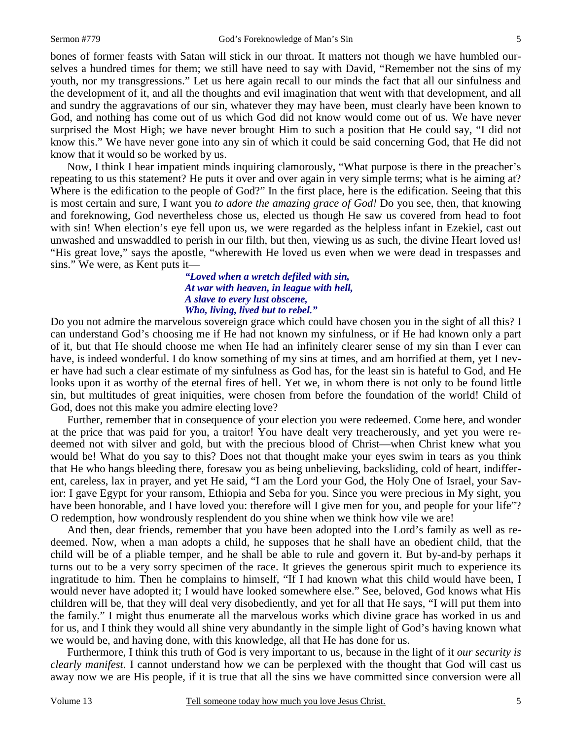bones of former feasts with Satan will stick in our throat. It matters not though we have humbled ourselves a hundred times for them; we still have need to say with David, "Remember not the sins of my youth, nor my transgressions." Let us here again recall to our minds the fact that all our sinfulness and the development of it, and all the thoughts and evil imagination that went with that development, and all and sundry the aggravations of our sin, whatever they may have been, must clearly have been known to God, and nothing has come out of us which God did not know would come out of us. We have never surprised the Most High; we have never brought Him to such a position that He could say, "I did not know this." We have never gone into any sin of which it could be said concerning God, that He did not know that it would so be worked by us.

 Now, I think I hear impatient minds inquiring clamorously, "What purpose is there in the preacher's repeating to us this statement? He puts it over and over again in very simple terms; what is he aiming at? Where is the edification to the people of God?" In the first place, here is the edification. Seeing that this is most certain and sure, I want you *to adore the amazing grace of God!* Do you see, then, that knowing and foreknowing, God nevertheless chose us, elected us though He saw us covered from head to foot with sin! When election's eye fell upon us, we were regarded as the helpless infant in Ezekiel, cast out unwashed and unswaddled to perish in our filth, but then, viewing us as such, the divine Heart loved us! "His great love," says the apostle, "wherewith He loved us even when we were dead in trespasses and sins." We were, as Kent puts it—

#### *"Loved when a wretch defiled with sin, At war with heaven, in league with hell, A slave to every lust obscene, Who, living, lived but to rebel."*

Do you not admire the marvelous sovereign grace which could have chosen you in the sight of all this? I can understand God's choosing me if He had not known my sinfulness, or if He had known only a part of it, but that He should choose me when He had an infinitely clearer sense of my sin than I ever can have, is indeed wonderful. I do know something of my sins at times, and am horrified at them, yet I never have had such a clear estimate of my sinfulness as God has, for the least sin is hateful to God, and He looks upon it as worthy of the eternal fires of hell. Yet we, in whom there is not only to be found little sin, but multitudes of great iniquities, were chosen from before the foundation of the world! Child of God, does not this make you admire electing love?

 Further, remember that in consequence of your election you were redeemed. Come here, and wonder at the price that was paid for you, a traitor! You have dealt very treacherously, and yet you were redeemed not with silver and gold, but with the precious blood of Christ—when Christ knew what you would be! What do you say to this? Does not that thought make your eyes swim in tears as you think that He who hangs bleeding there, foresaw you as being unbelieving, backsliding, cold of heart, indifferent, careless, lax in prayer, and yet He said, "I am the Lord your God, the Holy One of Israel, your Savior: I gave Egypt for your ransom, Ethiopia and Seba for you. Since you were precious in My sight, you have been honorable, and I have loved you: therefore will I give men for you, and people for your life"? O redemption, how wondrously resplendent do you shine when we think how vile we are!

 And then, dear friends, remember that you have been adopted into the Lord's family as well as redeemed. Now, when a man adopts a child, he supposes that he shall have an obedient child, that the child will be of a pliable temper, and he shall be able to rule and govern it. But by-and-by perhaps it turns out to be a very sorry specimen of the race. It grieves the generous spirit much to experience its ingratitude to him. Then he complains to himself, "If I had known what this child would have been, I would never have adopted it; I would have looked somewhere else." See, beloved, God knows what His children will be, that they will deal very disobediently, and yet for all that He says, "I will put them into the family." I might thus enumerate all the marvelous works which divine grace has worked in us and for us, and I think they would all shine very abundantly in the simple light of God's having known what we would be, and having done, with this knowledge, all that He has done for us.

 Furthermore, I think this truth of God is very important to us, because in the light of it *our security is clearly manifest.* I cannot understand how we can be perplexed with the thought that God will cast us away now we are His people, if it is true that all the sins we have committed since conversion were all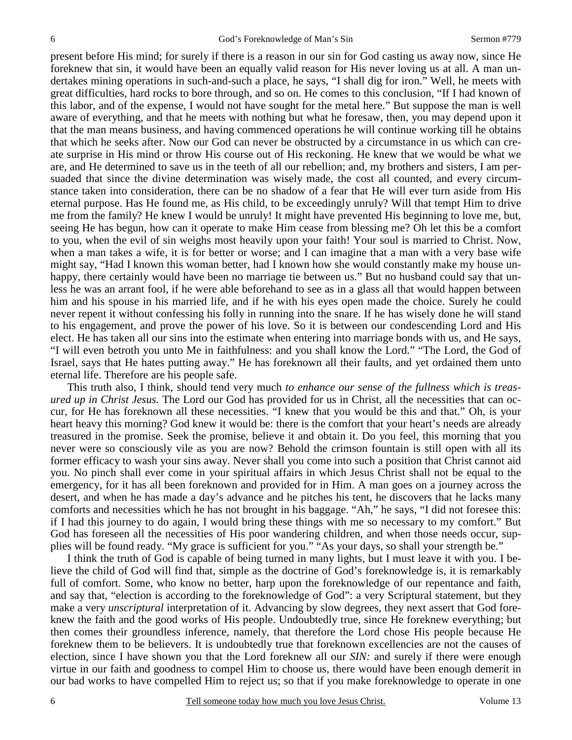present before His mind; for surely if there is a reason in our sin for God casting us away now, since He foreknew that sin, it would have been an equally valid reason for His never loving us at all. A man undertakes mining operations in such-and-such a place, he says, "I shall dig for iron." Well, he meets with great difficulties, hard rocks to bore through, and so on. He comes to this conclusion, "If I had known of this labor, and of the expense, I would not have sought for the metal here." But suppose the man is well aware of everything, and that he meets with nothing but what he foresaw, then, you may depend upon it that the man means business, and having commenced operations he will continue working till he obtains that which he seeks after. Now our God can never be obstructed by a circumstance in us which can create surprise in His mind or throw His course out of His reckoning. He knew that we would be what we are, and He determined to save us in the teeth of all our rebellion; and, my brothers and sisters, I am persuaded that since the divine determination was wisely made, the cost all counted, and every circumstance taken into consideration, there can be no shadow of a fear that He will ever turn aside from His eternal purpose. Has He found me, as His child, to be exceedingly unruly? Will that tempt Him to drive me from the family? He knew I would be unruly! It might have prevented His beginning to love me, but, seeing He has begun, how can it operate to make Him cease from blessing me? Oh let this be a comfort to you, when the evil of sin weighs most heavily upon your faith! Your soul is married to Christ. Now, when a man takes a wife, it is for better or worse; and I can imagine that a man with a very base wife might say, "Had I known this woman better, had I known how she would constantly make my house unhappy, there certainly would have been no marriage tie between us." But no husband could say that unless he was an arrant fool, if he were able beforehand to see as in a glass all that would happen between him and his spouse in his married life, and if he with his eyes open made the choice. Surely he could never repent it without confessing his folly in running into the snare. If he has wisely done he will stand to his engagement, and prove the power of his love. So it is between our condescending Lord and His elect. He has taken all our sins into the estimate when entering into marriage bonds with us, and He says, "I will even betroth you unto Me in faithfulness: and you shall know the Lord." "The Lord, the God of Israel, says that He hates putting away." He has foreknown all their faults, and yet ordained them unto eternal life. Therefore are his people safe.

 This truth also, I think, should tend very much *to enhance our sense of the fullness which is treasured up in Christ Jesus.* The Lord our God has provided for us in Christ, all the necessities that can occur, for He has foreknown all these necessities. "I knew that you would be this and that." Oh, is your heart heavy this morning? God knew it would be: there is the comfort that your heart's needs are already treasured in the promise. Seek the promise, believe it and obtain it. Do you feel, this morning that you never were so consciously vile as you are now? Behold the crimson fountain is still open with all its former efficacy to wash your sins away. Never shall you come into such a position that Christ cannot aid you. No pinch shall ever come in your spiritual affairs in which Jesus Christ shall not be equal to the emergency, for it has all been foreknown and provided for in Him. A man goes on a journey across the desert, and when he has made a day's advance and he pitches his tent, he discovers that he lacks many comforts and necessities which he has not brought in his baggage. "Ah," he says, "I did not foresee this: if I had this journey to do again, I would bring these things with me so necessary to my comfort." But God has foreseen all the necessities of His poor wandering children, and when those needs occur, supplies will be found ready. "My grace is sufficient for you." "As your days, so shall your strength be."

 I think the truth of God is capable of being turned in many lights, but I must leave it with you. I believe the child of God will find that, simple as the doctrine of God's foreknowledge is, it is remarkably full of comfort. Some, who know no better, harp upon the foreknowledge of our repentance and faith, and say that, "election is according to the foreknowledge of God": a very Scriptural statement, but they make a very *unscriptural* interpretation of it. Advancing by slow degrees, they next assert that God foreknew the faith and the good works of His people. Undoubtedly true, since He foreknew everything; but then comes their groundless inference, namely, that therefore the Lord chose His people because He foreknew them to be believers. It is undoubtedly true that foreknown excellencies are not the causes of election, since I have shown you that the Lord foreknew all our *SIN:* and surely if there were enough virtue in our faith and goodness to compel Him to choose us, there would have been enough demerit in our bad works to have compelled Him to reject us; so that if you make foreknowledge to operate in one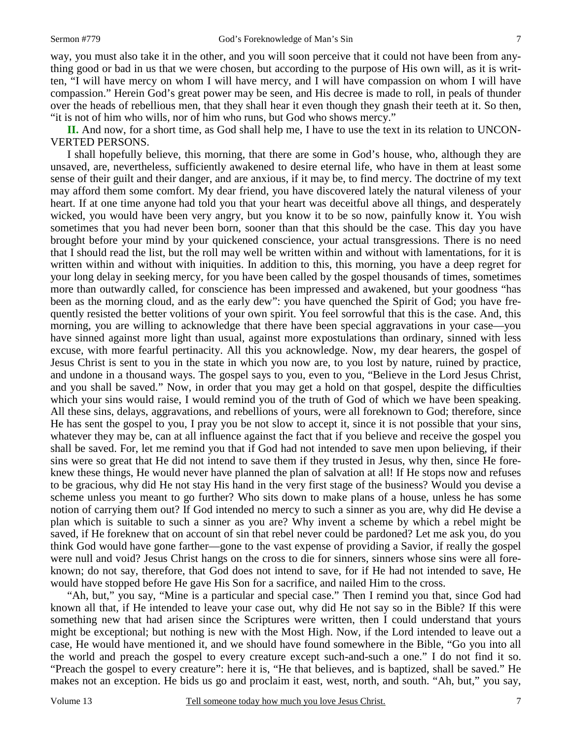way, you must also take it in the other, and you will soon perceive that it could not have been from anything good or bad in us that we were chosen, but according to the purpose of His own will, as it is written, "I will have mercy on whom I will have mercy, and I will have compassion on whom I will have compassion." Herein God's great power may be seen, and His decree is made to roll, in peals of thunder over the heads of rebellious men, that they shall hear it even though they gnash their teeth at it. So then, "it is not of him who wills, nor of him who runs, but God who shows mercy."

**II.** And now, for a short time, as God shall help me, I have to use the text in its relation to UNCON-VERTED PERSONS.

 I shall hopefully believe, this morning, that there are some in God's house, who, although they are unsaved, are, nevertheless, sufficiently awakened to desire eternal life, who have in them at least some sense of their guilt and their danger, and are anxious, if it may be, to find mercy. The doctrine of my text may afford them some comfort. My dear friend, you have discovered lately the natural vileness of your heart. If at one time anyone had told you that your heart was deceitful above all things, and desperately wicked, you would have been very angry, but you know it to be so now, painfully know it. You wish sometimes that you had never been born, sooner than that this should be the case. This day you have brought before your mind by your quickened conscience, your actual transgressions. There is no need that I should read the list, but the roll may well be written within and without with lamentations, for it is written within and without with iniquities. In addition to this, this morning, you have a deep regret for your long delay in seeking mercy, for you have been called by the gospel thousands of times, sometimes more than outwardly called, for conscience has been impressed and awakened, but your goodness "has been as the morning cloud, and as the early dew": you have quenched the Spirit of God; you have frequently resisted the better volitions of your own spirit. You feel sorrowful that this is the case. And, this morning, you are willing to acknowledge that there have been special aggravations in your case—you have sinned against more light than usual, against more expostulations than ordinary, sinned with less excuse, with more fearful pertinacity. All this you acknowledge. Now, my dear hearers, the gospel of Jesus Christ is sent to you in the state in which you now are, to you lost by nature, ruined by practice, and undone in a thousand ways. The gospel says to you, even to you, "Believe in the Lord Jesus Christ, and you shall be saved." Now, in order that you may get a hold on that gospel, despite the difficulties which your sins would raise, I would remind you of the truth of God of which we have been speaking. All these sins, delays, aggravations, and rebellions of yours, were all foreknown to God; therefore, since He has sent the gospel to you, I pray you be not slow to accept it, since it is not possible that your sins, whatever they may be, can at all influence against the fact that if you believe and receive the gospel you shall be saved. For, let me remind you that if God had not intended to save men upon believing, if their sins were so great that He did not intend to save them if they trusted in Jesus, why then, since He foreknew these things, He would never have planned the plan of salvation at all! If He stops now and refuses to be gracious, why did He not stay His hand in the very first stage of the business? Would you devise a scheme unless you meant to go further? Who sits down to make plans of a house, unless he has some notion of carrying them out? If God intended no mercy to such a sinner as you are, why did He devise a plan which is suitable to such a sinner as you are? Why invent a scheme by which a rebel might be saved, if He foreknew that on account of sin that rebel never could be pardoned? Let me ask you, do you think God would have gone farther—gone to the vast expense of providing a Savior, if really the gospel were null and void? Jesus Christ hangs on the cross to die for sinners, sinners whose sins were all foreknown; do not say, therefore, that God does not intend to save, for if He had not intended to save, He would have stopped before He gave His Son for a sacrifice, and nailed Him to the cross.

 "Ah, but," you say, "Mine is a particular and special case." Then I remind you that, since God had known all that, if He intended to leave your case out, why did He not say so in the Bible? If this were something new that had arisen since the Scriptures were written, then I could understand that yours might be exceptional; but nothing is new with the Most High. Now, if the Lord intended to leave out a case, He would have mentioned it, and we should have found somewhere in the Bible, "Go you into all the world and preach the gospel to every creature except such-and-such a one." I do not find it so. "Preach the gospel to every creature": here it is, "He that believes, and is baptized, shall be saved." He makes not an exception. He bids us go and proclaim it east, west, north, and south. "Ah, but," you say,